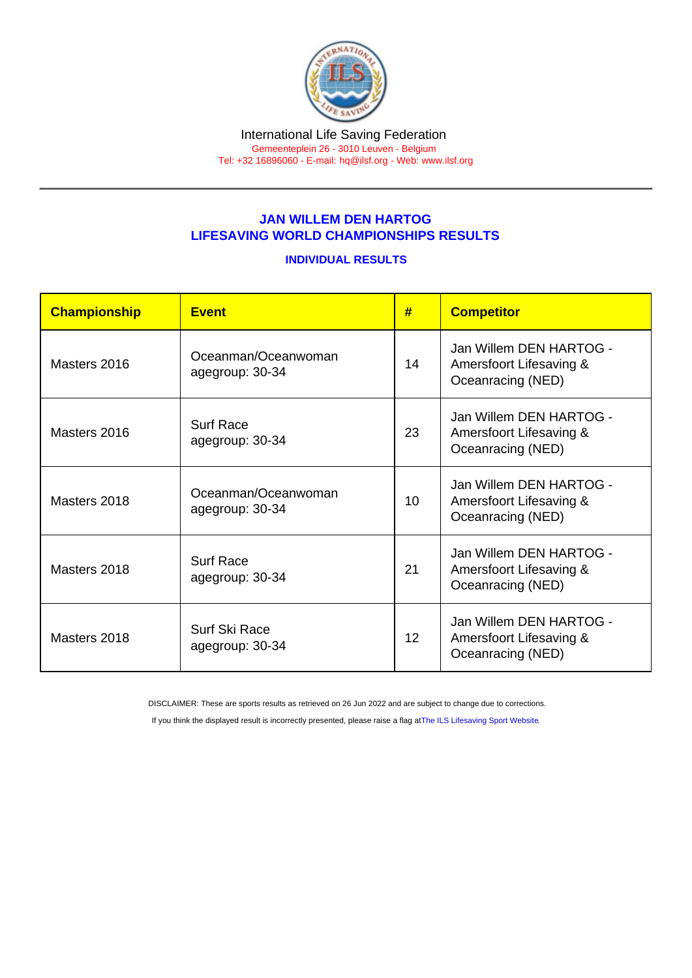## JAN WILLEM DEN HARTOG LIFESAVING WORLD CHAMPIONSHIPS RESULTS

## INDIVIDUAL RESULTS

| Championship | <b>Fvent</b>                           | #               | <b>Competitor</b>                                                       |
|--------------|----------------------------------------|-----------------|-------------------------------------------------------------------------|
| Masters 2016 | Oceanman/Oceanwoman<br>agegroup: 30-34 | 14              | Jan Willem DEN HARTOG -<br>Amersfoort Lifesaving &<br>Oceanracing (NED) |
| Masters 2016 | Surf Race<br>agegroup: 30-34           | 23              | Jan Willem DEN HARTOG -<br>Amersfoort Lifesaving &<br>Oceanracing (NED) |
| Masters 2018 | Oceanman/Oceanwoman<br>agegroup: 30-34 | 10              | Jan Willem DEN HARTOG -<br>Amersfoort Lifesaving &<br>Oceanracing (NED) |
| Masters 2018 | <b>Surf Race</b><br>agegroup: 30-34    | 21              | Jan Willem DFN HARTOG -<br>Amersfoort Lifesaving &<br>Oceanracing (NED) |
| Masters 2018 | Surf Ski Race<br>agegroup: 30-34       | 12 <sup>°</sup> | Jan Willem DEN HARTOG -<br>Amersfoort Lifesaving &<br>Oceanracing (NED) |

DISCLAIMER: These are sports results as retrieved on 26 Jun 2022 and are subject to change due to corrections.

If you think the displayed result is incorrectly presented, please raise a flag at [The ILS Lifesaving Sport Website.](https://sport.ilsf.org)